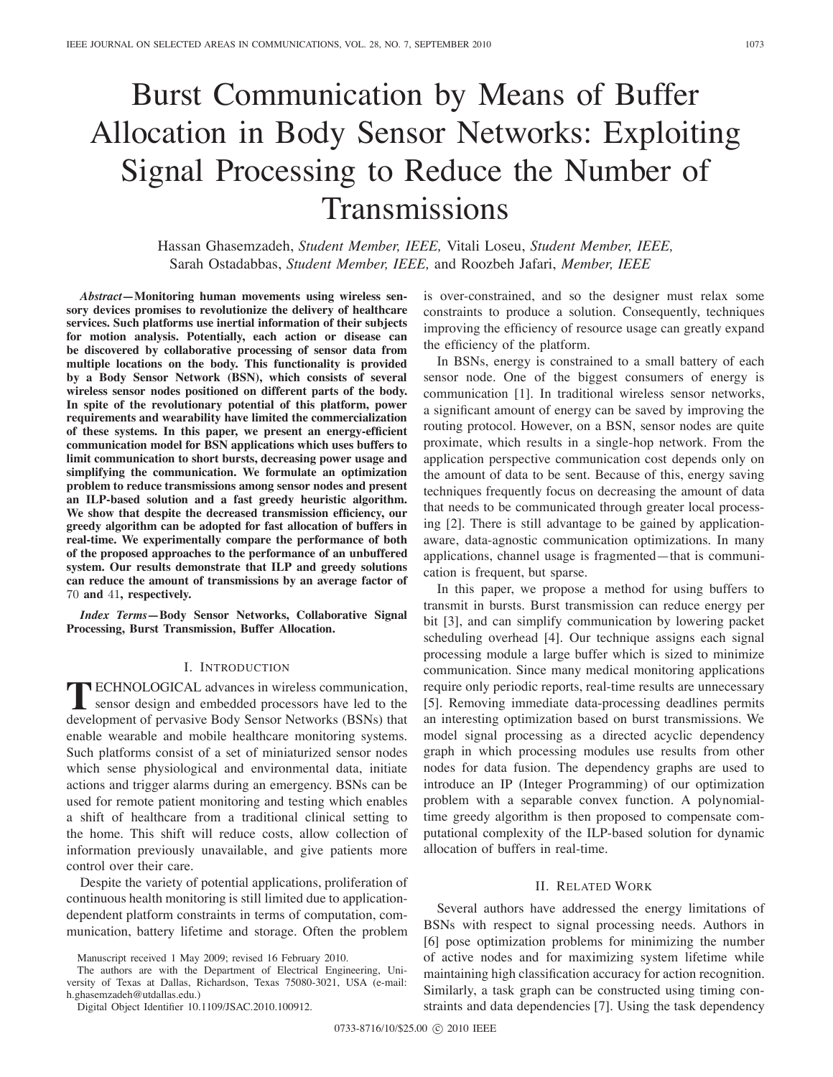# Burst Communication by Means of Buffer Allocation in Body Sensor Networks: Exploiting Signal Processing to Reduce the Number of Transmissions

Hassan Ghasemzadeh, *Student Member, IEEE,* Vitali Loseu, *Student Member, IEEE,* Sarah Ostadabbas, *Student Member, IEEE,* and Roozbeh Jafari, *Member, IEEE*

*Abstract***—Monitoring human movements using wireless sensory devices promises to revolutionize the delivery of healthcare services. Such platforms use inertial information of their subjects for motion analysis. Potentially, each action or disease can be discovered by collaborative processing of sensor data from multiple locations on the body. This functionality is provided by a Body Sensor Network (BSN), which consists of several wireless sensor nodes positioned on different parts of the body. In spite of the revolutionary potential of this platform, power requirements and wearability have limited the commercialization of these systems. In this paper, we present an energy-efficient communication model for BSN applications which uses buffers to limit communication to short bursts, decreasing power usage and simplifying the communication. We formulate an optimization problem to reduce transmissions among sensor nodes and present an ILP-based solution and a fast greedy heuristic algorithm. We show that despite the decreased transmission efficiency, our greedy algorithm can be adopted for fast allocation of buffers in real-time. We experimentally compare the performance of both of the proposed approaches to the performance of an unbuffered system. Our results demonstrate that ILP and greedy solutions can reduce the amount of transmissions by an average factor of** 70 **and** 41**, respectively.**

*Index Terms***—Body Sensor Networks, Collaborative Signal Processing, Burst Transmission, Buffer Allocation.**

## I. INTRODUCTION

**T**ECHNOLOGICAL advances in wireless communication, sensor design and embedded processors have led to the development of pervasive Body Sensor Networks (BSNs) that enable wearable and mobile healthcare monitoring systems. Such platforms consist of a set of miniaturized sensor nodes which sense physiological and environmental data, initiate actions and trigger alarms during an emergency. BSNs can be used for remote patient monitoring and testing which enables a shift of healthcare from a traditional clinical setting to the home. This shift will reduce costs, allow collection of information previously unavailable, and give patients more control over their care.

Despite the variety of potential applications, proliferation of continuous health monitoring is still limited due to applicationdependent platform constraints in terms of computation, communication, battery lifetime and storage. Often the problem

Manuscript received 1 May 2009; revised 16 February 2010.

The authors are with the Department of Electrical Engineering, University of Texas at Dallas, Richardson, Texas 75080-3021, USA (e-mail: h.ghasemzadeh@utdallas.edu.)

Digital Object Identifier 10.1109/JSAC.2010.100912.

is over-constrained, and so the designer must relax some constraints to produce a solution. Consequently, techniques improving the efficiency of resource usage can greatly expand the efficiency of the platform.

In BSNs, energy is constrained to a small battery of each sensor node. One of the biggest consumers of energy is communication [1]. In traditional wireless sensor networks, a significant amount of energy can be saved by improving the routing protocol. However, on a BSN, sensor nodes are quite proximate, which results in a single-hop network. From the application perspective communication cost depends only on the amount of data to be sent. Because of this, energy saving techniques frequently focus on decreasing the amount of data that needs to be communicated through greater local processing [2]. There is still advantage to be gained by applicationaware, data-agnostic communication optimizations. In many applications, channel usage is fragmented—that is communication is frequent, but sparse.

In this paper, we propose a method for using buffers to transmit in bursts. Burst transmission can reduce energy per bit [3], and can simplify communication by lowering packet scheduling overhead [4]. Our technique assigns each signal processing module a large buffer which is sized to minimize communication. Since many medical monitoring applications require only periodic reports, real-time results are unnecessary [5]. Removing immediate data-processing deadlines permits an interesting optimization based on burst transmissions. We model signal processing as a directed acyclic dependency graph in which processing modules use results from other nodes for data fusion. The dependency graphs are used to introduce an IP (Integer Programming) of our optimization problem with a separable convex function. A polynomialtime greedy algorithm is then proposed to compensate computational complexity of the ILP-based solution for dynamic allocation of buffers in real-time.

# II. RELATED WORK

Several authors have addressed the energy limitations of BSNs with respect to signal processing needs. Authors in [6] pose optimization problems for minimizing the number of active nodes and for maximizing system lifetime while maintaining high classification accuracy for action recognition. Similarly, a task graph can be constructed using timing constraints and data dependencies [7]. Using the task dependency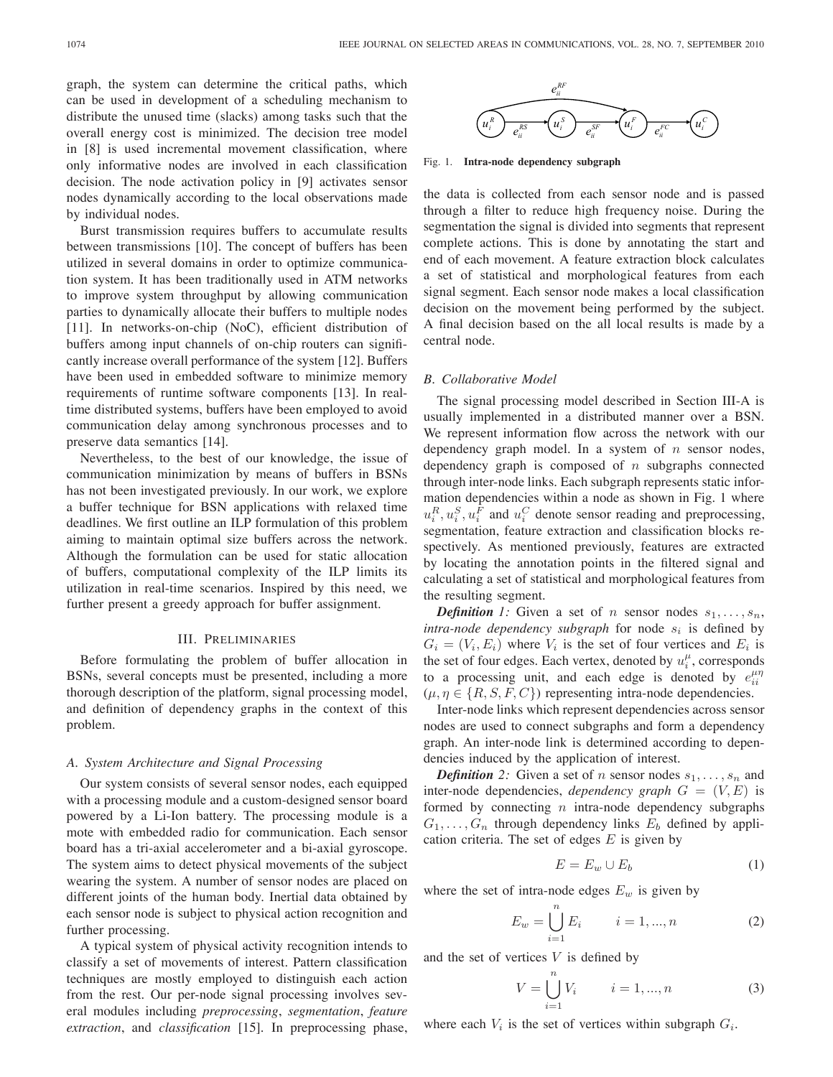graph, the system can determine the critical paths, which can be used in development of a scheduling mechanism to distribute the unused time (slacks) among tasks such that the overall energy cost is minimized. The decision tree model in [8] is used incremental movement classification, where only informative nodes are involved in each classification decision. The node activation policy in [9] activates sensor nodes dynamically according to the local observations made by individual nodes.

Burst transmission requires buffers to accumulate results between transmissions [10]. The concept of buffers has been utilized in several domains in order to optimize communication system. It has been traditionally used in ATM networks to improve system throughput by allowing communication parties to dynamically allocate their buffers to multiple nodes [11]. In networks-on-chip (NoC), efficient distribution of buffers among input channels of on-chip routers can significantly increase overall performance of the system [12]. Buffers have been used in embedded software to minimize memory requirements of runtime software components [13]. In realtime distributed systems, buffers have been employed to avoid communication delay among synchronous processes and to preserve data semantics [14].

Nevertheless, to the best of our knowledge, the issue of communication minimization by means of buffers in BSNs has not been investigated previously. In our work, we explore a buffer technique for BSN applications with relaxed time deadlines. We first outline an ILP formulation of this problem aiming to maintain optimal size buffers across the network. Although the formulation can be used for static allocation of buffers, computational complexity of the ILP limits its utilization in real-time scenarios. Inspired by this need, we further present a greedy approach for buffer assignment.

#### III. PRELIMINARIES

Before formulating the problem of buffer allocation in BSNs, several concepts must be presented, including a more thorough description of the platform, signal processing model, and definition of dependency graphs in the context of this problem.

# *A. System Architecture and Signal Processing*

Our system consists of several sensor nodes, each equipped with a processing module and a custom-designed sensor board powered by a Li-Ion battery. The processing module is a mote with embedded radio for communication. Each sensor board has a tri-axial accelerometer and a bi-axial gyroscope. The system aims to detect physical movements of the subject wearing the system. A number of sensor nodes are placed on different joints of the human body. Inertial data obtained by each sensor node is subject to physical action recognition and further processing.

A typical system of physical activity recognition intends to classify a set of movements of interest. Pattern classification techniques are mostly employed to distinguish each action from the rest. Our per-node signal processing involves several modules including *preprocessing*, *segmentation*, *feature extraction*, and *classification* [15]. In preprocessing phase,



Fig. 1. **Intra-node dependency subgraph**

the data is collected from each sensor node and is passed through a filter to reduce high frequency noise. During the segmentation the signal is divided into segments that represent complete actions. This is done by annotating the start and end of each movement. A feature extraction block calculates a set of statistical and morphological features from each signal segment. Each sensor node makes a local classification decision on the movement being performed by the subject. A final decision based on the all local results is made by a central node.

## *B. Collaborative Model*

The signal processing model described in Section III-A is usually implemented in a distributed manner over a BSN. We represent information flow across the network with our dependency graph model. In a system of  $n$  sensor nodes, dependency graph is composed of  $n$  subgraphs connected through inter-node links. Each subgraph represents static information dependencies within a node as shown in Fig. 1 where  $u_i^R, u_i^S, u_i^F$  and  $u_i^C$  denote sensor reading and preprocessing, segmentation, feature extraction and classification blocks respectively. As mentioned previously, features are extracted by locating the annotation points in the filtered signal and calculating a set of statistical and morphological features from the resulting segment.

**Definition** 1: Given a set of n sensor nodes  $s_1, \ldots, s_n$ , *intra-node dependency subgraph* for node  $s_i$  is defined by  $G_i = (V_i, E_i)$  where  $V_i$  is the set of four vertices and  $E_i$  is the set of four edges. Each vertex, denoted by  $u_i^{\mu}$ , corresponds to a processing unit, and each edge is denoted by  $e_{ii}^{\mu\eta}$  $(\mu, \eta \in \{R, S, F, C\})$  representing intra-node dependencies.

Inter-node links which represent dependencies across sensor nodes are used to connect subgraphs and form a dependency graph. An inter-node link is determined according to dependencies induced by the application of interest.

**Definition** 2: Given a set of n sensor nodes  $s_1, \ldots, s_n$  and inter-node dependencies, *dependency graph*  $G = (V, E)$  is formed by connecting  $n$  intra-node dependency subgraphs  $G_1, \ldots, G_n$  through dependency links  $E_b$  defined by application criteria. The set of edges  $E$  is given by

$$
E = E_w \cup E_b \tag{1}
$$

where the set of intra-node edges  $E_w$  is given by

$$
E_w = \bigcup_{i=1}^n E_i \qquad i = 1, ..., n \tag{2}
$$

and the set of vertices  $V$  is defined by

$$
V = \bigcup_{i=1}^{n} V_i \qquad i = 1, ..., n \tag{3}
$$

where each  $V_i$  is the set of vertices within subgraph  $G_i$ .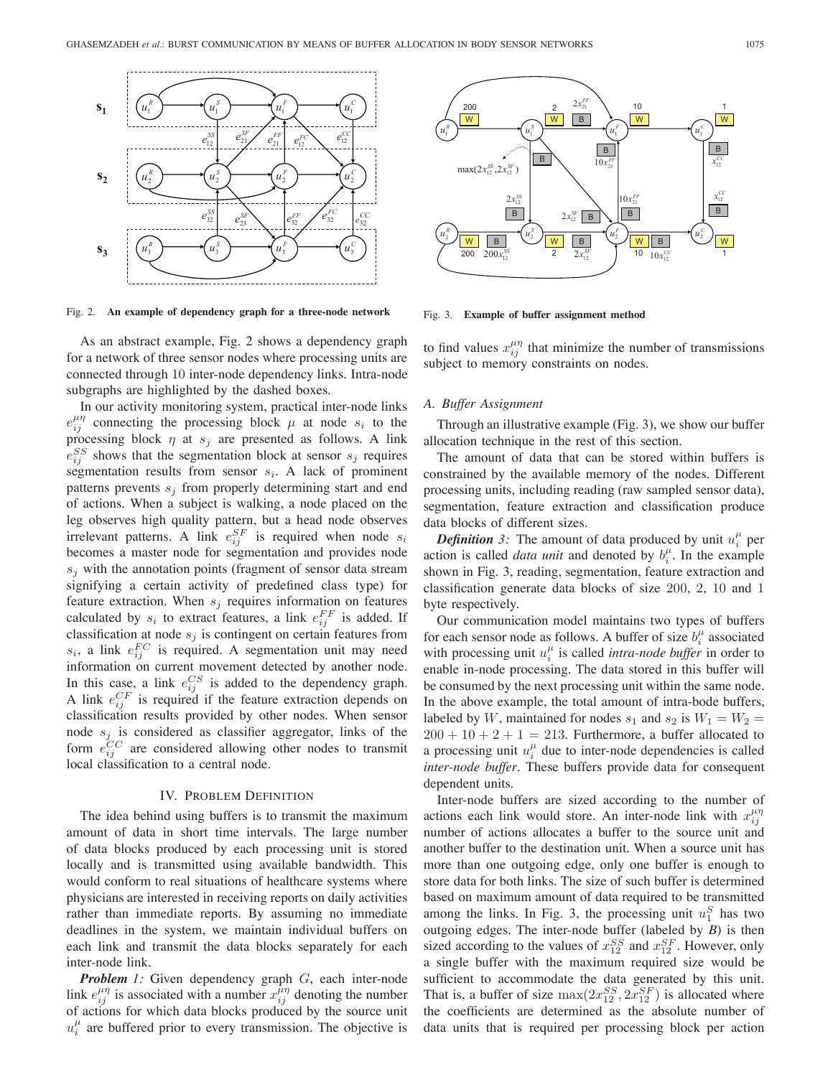

Fig. 2. **An example of dependency graph for a three-node network**

As an abstract example, Fig. 2 shows a dependency graph for a network of three sensor nodes where processing units are connected through 10 inter-node dependency links. Intra-node subgraphs are highlighted by the dashed boxes.

In our activity monitoring system, practical inter-node links  $e_{ij}^{\mu\eta}$  connecting the processing block  $\mu$  at node  $s_i$  to the processing block  $\eta$  at  $s_i$  are presented as follows. A link  $e_{ij}^{SS}$  shows that the segmentation block at sensor  $s_j$  requires segmentation results from sensor  $s_i$ . A lack of prominent patterns prevents  $s_i$  from properly determining start and end of actions. When a subject is walking, a node placed on the leg observes high quality pattern, but a head node observes irrelevant patterns. A link  $e_{ij}^{SF}$  is required when node  $s_i$ becomes a master node for segmentation and provides node  $s_i$  with the annotation points (fragment of sensor data stream signifying a certain activity of predefined class type) for feature extraction. When  $s_j$  requires information on features calculated by  $s_i$  to extract features, a link  $e_{ij}^{FF}$  is added. If classification at node  $s_j$  is contingent on certain features from  $s_i$ , a link  $e_{ij}^{FC}$  is required. A segmentation unit may need information on current movement detected by another node. In this case, a link  $e_{ij}^{CS}$  is added to the dependency graph. A link  $e_{ij}^{CF}$  is required if the feature extraction depends on classification results provided by other nodes. When sensor node  $s_j$  is considered as classifier aggregator, links of the form  $e_{ij}^{CC}$  are considered allowing other nodes to transmit local classification to a central node.

## IV. PROBLEM DEFINITION

The idea behind using buffers is to transmit the maximum amount of data in short time intervals. The large number of data blocks produced by each processing unit is stored locally and is transmitted using available bandwidth. This would conform to real situations of healthcare systems where physicians are interested in receiving reports on daily activities rather than immediate reports. By assuming no immediate deadlines in the system, we maintain individual buffers on each link and transmit the data blocks separately for each inter-node link.

*Problem 1:* Given dependency graph G, each inter-node link  $e_{ij}^{\mu\eta}$  is associated with a number  $x_{ij}^{\mu\eta}$  denoting the number of actions for which data blocks produced by the source unit  $u_i^{\mu}$  are buffered prior to every transmission. The objective is



Fig. 3. **Example of buffer assignment method**

to find values  $x_{ij}^{\mu\eta}$  that minimize the number of transmissions subject to memory constraints on nodes.

# *A. Buffer Assignment*

Through an illustrative example (Fig. 3), we show our buffer allocation technique in the rest of this section.

The amount of data that can be stored within buffers is constrained by the available memory of the nodes. Different processing units, including reading (raw sampled sensor data), segmentation, feature extraction and classification produce data blocks of different sizes.

**Definition** 3: The amount of data produced by unit  $u_i^{\mu}$  per action is called *data unit* and denoted by  $b_i^{\mu}$ . In the example shown in Fig. 3, reading, segmentation, feature extraction and classification generate data blocks of size 200, 2, 10 and 1 byte respectively.

Our communication model maintains two types of buffers for each sensor node as follows. A buffer of size  $b_i^{\mu}$  associated with processing unit  $u_i^{\mu}$  is called *intra-node buffer* in order to enable in-node processing. The data stored in this buffer will be consumed by the next processing unit within the same node. In the above example, the total amount of intra-bode buffers, labeled by W, maintained for nodes  $s_1$  and  $s_2$  is  $W_1 = W_2$  $200 + 10 + 2 + 1 = 213$ . Furthermore, a buffer allocated to a processing unit  $u_i^{\mu}$  due to inter-node dependencies is called *inter-node buffer*. These buffers provide data for consequent dependent units.

Inter-node buffers are sized according to the number of actions each link would store. An inter-node link with  $x_{ij}^{\mu\eta}$ number of actions allocates a buffer to the source unit and another buffer to the destination unit. When a source unit has more than one outgoing edge, only one buffer is enough to store data for both links. The size of such buffer is determined based on maximum amount of data required to be transmitted among the links. In Fig. 3, the processing unit  $u_1^S$  has two outgoing edges. The inter-node buffer (labeled by *B*) is then sized according to the values of  $x_{12}^{SS}$  and  $x_{12}^{SF}$ . However, only a single buffer with the maximum required size would be sufficient to accommodate the data generated by this unit. That is, a buffer of size  $max(2x_{12}^{SS}, 2x_{12}^{SF})$  is allocated where the coefficients are determined as the absolute number of data units that is required per processing block per action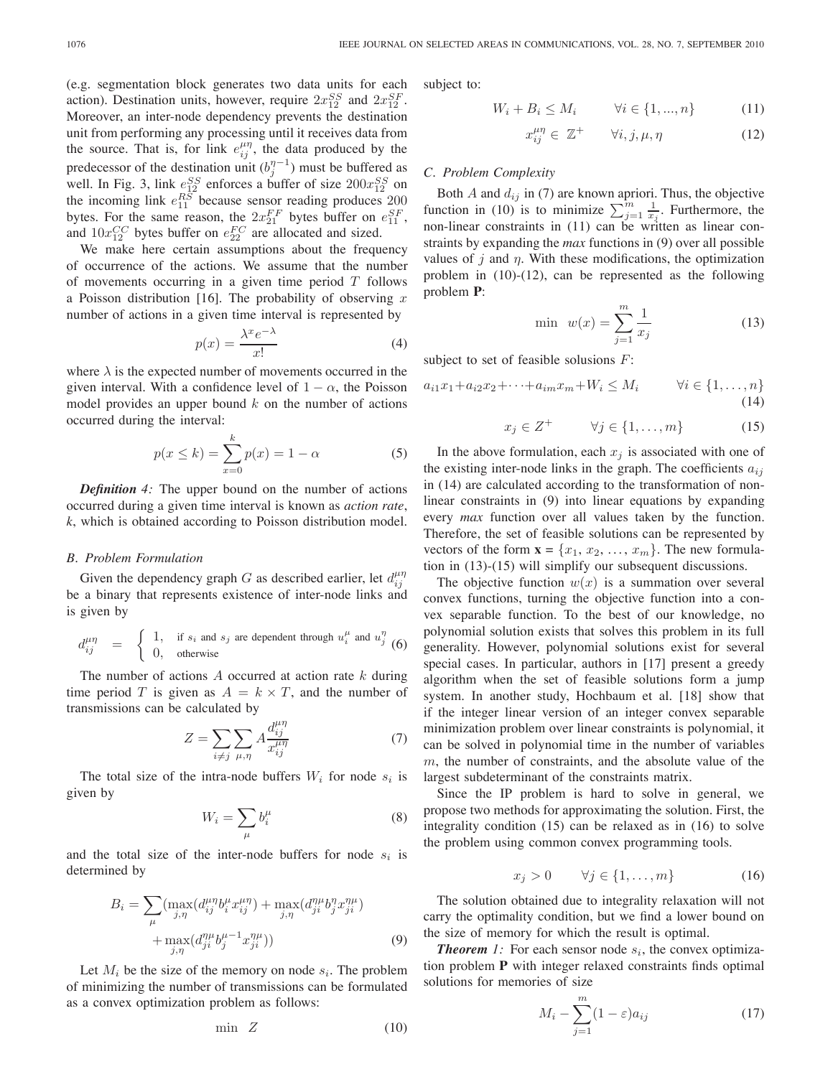(e.g. segmentation block generates two data units for each action). Destination units, however, require  $2x_{12}^{SS}$  and  $2x_{12}^{SF}$ .<br>Moreover, an inter-node dependency prevents the destination Moreover, an inter-node dependency prevents the destination unit from performing any processing until it receives data from the source. That is, for link  $e_{ij}^{\mu\eta}$ , the data produced by the predecessor of the destination unit  $(b_j^{\eta-1})$  must be buffered as well. In Fig. 3, link  $e_{12}^{SS}$  enforces a buffer of size  $200x_{12}^{SS}$  on the incoming link  $e_{12}^{RS}$  because sensor reading produces 200 the incoming link  $e_{11}^{RS}$  because sensor reading produces 200<br>bytes. For the same reason, the  $2r_F^{FF}$  bytes buffer on  $e_{2}^{SF}$ bytes. For the same reason, the  $2x_{21}^{FF}$  bytes buffer on  $e_{11}^{SF}$ , and  $10x_{21}^{CC}$  bytes buffer on  $e_{11}^{FC}$  are allocated and sized and  $10x_{12}^{CC}$  bytes buffer on  $e_{22}^{FC}$  are allocated and sized.<br>We make here certain assumptions about the frequency

We make here certain assumptions about the frequency of occurrence of the actions. We assume that the number of movements occurring in a given time period  $T$  follows a Poisson distribution [16]. The probability of observing  $x$ number of actions in a given time interval is represented by

$$
p(x) = \frac{\lambda^x e^{-\lambda}}{x!}
$$
 (4)  
where  $\lambda$  is the expected number of movements occurred in the

given interval. With a confidence level of  $1 - \alpha$ , the Poisson model provides an upper bound  $k$  on the number of actions occurred during the interval:

$$
p(x \le k) = \sum_{x=0}^{k} p(x) = 1 - \alpha
$$
 (5)

*Definition 4:* The upper bound on the number of actions occurred during a given time interval is known as *action rate*, *k*, which is obtained according to Poisson distribution model.

# *B. Problem Formulation*

Given the dependency graph G as described earlier, let  $d_{ij}^{\mu\eta}$ be a binary that represents existence of inter-node links and is given by

$$
d_{ij}^{\mu\eta} = \begin{cases} 1, & \text{if } s_i \text{ and } s_j \text{ are dependent through } u_i^{\mu} \text{ and } u_j^{\eta} \\ 0, & \text{otherwise} \end{cases}
$$

The number of actions  $A$  occurred at action rate  $k$  during time period T is given as  $A = k \times T$ , and the number of transmissions can be calculated by

$$
Z = \sum_{i \neq j} \sum_{\mu, \eta} A \frac{d_{ij}^{\mu \eta}}{x_{ij}^{\mu \eta}} \tag{7}
$$

The total size of the intra-node buffers  $W_i$  for node  $s_i$  is given by

$$
W_i = \sum_{\mu} b_i^{\mu} \tag{8}
$$

and the total size of the inter-node buffers for node  $s_i$  is determined by

$$
B_i = \sum_{\mu} (\max_{j,\eta} (d_{ij}^{\mu\eta} b_i^{\mu} x_{ij}^{\mu\eta}) + \max_{j,\eta} (d_{ji}^{\eta\mu} b_j^{\eta} x_{ji}^{\eta\mu}) + \max_{j,\eta} (d_{ji}^{\eta\mu} b_j^{\mu-1} x_{ji}^{\eta\mu}))
$$
(9)

Let  $M_i$  be the size of the memory on node  $s_i$ . The problem of minimizing the number of transmissions can be formulated as a convex optimization problem as follows:

$$
\min \quad Z \tag{10}
$$

subject to:

$$
W_i + B_i \le M_i \qquad \forall i \in \{1, ..., n\} \tag{11}
$$

$$
x_{ij}^{\mu\eta} \in \mathbb{Z}^+ \qquad \forall i, j, \mu, \eta \tag{12}
$$

## *C. Problem Complexity*

Both A and  $d_{ij}$  in (7) are known apriori. Thus, the objective function in (10) is to minimize  $\sum_{j=1}^{m} \frac{1}{x_j}$ . Furthermore, the non-linear constraints in (11) can be written as linear constraints by expanding the *max* functions in (9) over all possible values of  $j$  and  $\eta$ . With these modifications, the optimization problem in (10)-(12), can be represented as the following problem **P**:

$$
\min \ \ w(x) = \sum_{j=1}^{m} \frac{1}{x_j} \tag{13}
$$

subject to set of feasible solusions  $F$ :

$$
a_{i1}x_1 + a_{i2}x_2 + \dots + a_{im}x_m + W_i \le M_i \qquad \forall i \in \{1, \dots, n\}
$$
\n(14)

$$
x_j \in Z^+ \qquad \forall j \in \{1, \dots, m\} \tag{15}
$$

In the above formulation, each  $x_i$  is associated with one of the existing inter-node links in the graph. The coefficients  $a_{ij}$ in (14) are calculated according to the transformation of nonlinear constraints in (9) into linear equations by expanding every *max* function over all values taken by the function. Therefore, the set of feasible solutions can be represented by vectors of the form  $\mathbf{x} = \{x_1, x_2, \dots, x_m\}$ . The new formulation in (13)-(15) will simplify our subsequent discussions.

The objective function  $w(x)$  is a summation over several convex functions, turning the objective function into a convex separable function. To the best of our knowledge, no polynomial solution exists that solves this problem in its full generality. However, polynomial solutions exist for several special cases. In particular, authors in [17] present a greedy algorithm when the set of feasible solutions form a jump system. In another study, Hochbaum et al. [18] show that if the integer linear version of an integer convex separable minimization problem over linear constraints is polynomial, it can be solved in polynomial time in the number of variables  $m$ , the number of constraints, and the absolute value of the largest subdeterminant of the constraints matrix.

Since the IP problem is hard to solve in general, we propose two methods for approximating the solution. First, the integrality condition (15) can be relaxed as in (16) to solve the problem using common convex programming tools.

$$
x_j > 0 \qquad \forall j \in \{1, \dots, m\} \tag{16}
$$

The solution obtained due to integrality relaxation will not carry the optimality condition, but we find a lower bound on the size of memory for which the result is optimal.

*Theorem 1:* For each sensor node  $s_i$ , the convex optimization problem **P** with integer relaxed constraints finds optimal solutions for memories of size

$$
M_i - \sum_{j=1}^{m} (1 - \varepsilon) a_{ij}
$$
 (17)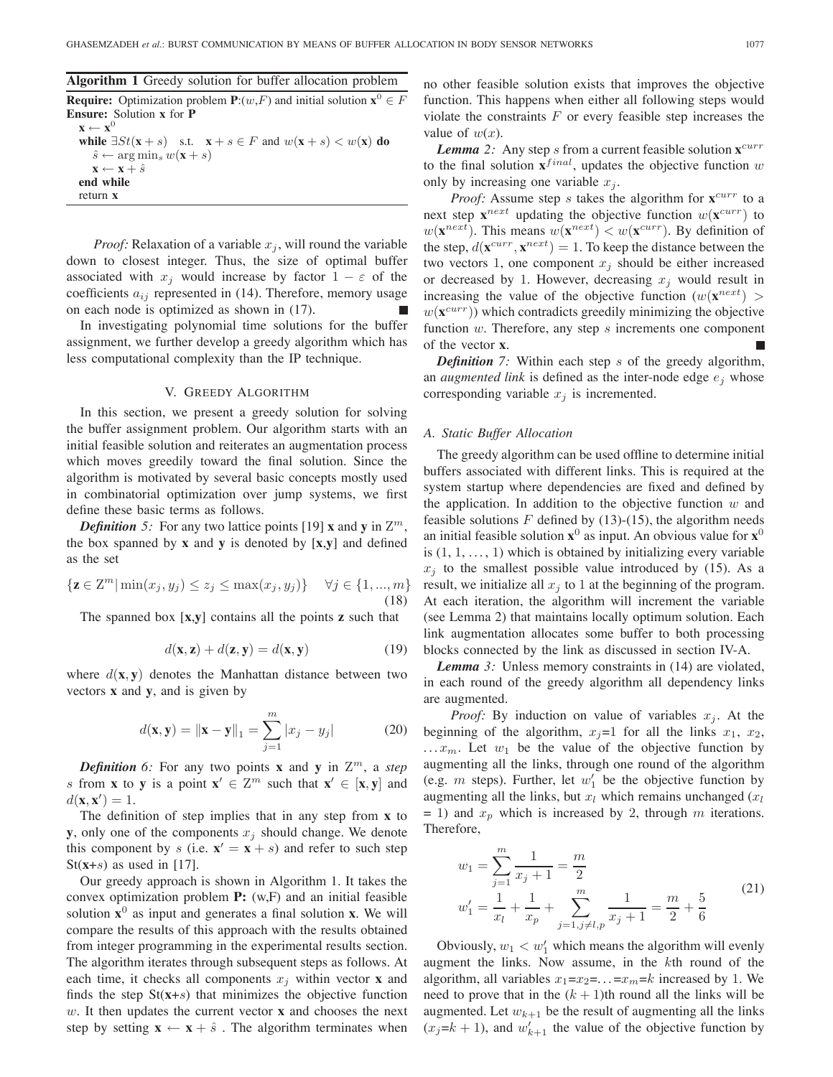## **Algorithm 1** Greedy solution for buffer allocation problem

**Require:** Optimization problem  $P:(w,F)$  and initial solution  $\mathbf{x}^0 \in F$ **Ensure:** Solution **x** for **P**  $\mathbf{x} \leftarrow \mathbf{x}$ **while**  $∃St(x + s)$  s.t.  $x + s ∈ F$  and  $w(x + s) < w(x)$  **do**  $\hat{s} \leftarrow \arg \min_{s} w(\mathbf{x} + s)$  $\mathbf{x} \leftarrow \mathbf{x} + \hat{s}$ **end while** return **x**

*Proof:* Relaxation of a variable  $x_j$ , will round the variable down to closest integer. Thus, the size of optimal buffer associated with  $x_j$  would increase by factor  $1 - \varepsilon$  of the coefficients  $a_{ij}$  represented in (14). Therefore, memory usage on each node is optimized as shown in (17).

In investigating polynomial time solutions for the buffer assignment, we further develop a greedy algorithm which has less computational complexity than the IP technique.

## V. GREEDY ALGORITHM

In this section, we present a greedy solution for solving the buffer assignment problem. Our algorithm starts with an initial feasible solution and reiterates an augmentation process which moves greedily toward the final solution. Since the algorithm is motivated by several basic concepts mostly used in combinatorial optimization over jump systems, we first define these basic terms as follows.

**Definition** 5: For any two lattice points [19] **x** and **y** in  $\mathbb{Z}^m$ , the box spanned by **x** and **y** is denoted by [**x**,**y**] and defined as the set

$$
\left\{ \mathbf{z} \in \mathbb{Z}^m \middle| \min(x_j, y_j) \le z_j \le \max(x_j, y_j) \right\} \quad \forall j \in \{1, ..., m\}
$$
\n(18)

The spanned box [**x**,**y**] contains all the points **z** such that

$$
d(\mathbf{x}, \mathbf{z}) + d(\mathbf{z}, \mathbf{y}) = d(\mathbf{x}, \mathbf{y})
$$
 (19)

where  $d(\mathbf{x}, \mathbf{y})$  denotes the Manhattan distance between two vectors **x** and **y**, and is given by

$$
d(\mathbf{x}, \mathbf{y}) = ||\mathbf{x} - \mathbf{y}||_1 = \sum_{j=1}^{m} |x_j - y_j|
$$
 (20)

*Definition* 6: For any two points **x** and **y** in  $\mathbb{Z}^m$ , a *step* s from **x** to **y** is a point  $\mathbf{x}' \in \mathbb{Z}^m$  such that  $\mathbf{x}' \in [\mathbf{x}, \mathbf{y}]$  and  $d(\mathbf{x}, \mathbf{x}') = 1.$ <br>The definition

The definition of step implies that in any step from **x** to **y**, only one of the components  $x_i$  should change. We denote this component by s (i.e.  $\mathbf{x}' = \mathbf{x} + s$ ) and refer to such step St( $x+s$ ) as used in [17].

Our greedy approach is shown in Algorithm 1. It takes the convex optimization problem **P:** (w,F) and an initial feasible solution  $x^0$  as input and generates a final solution **x**. We will compare the results of this approach with the results obtained from integer programming in the experimental results section. The algorithm iterates through subsequent steps as follows. At each time, it checks all components  $x_j$  within vector **x** and finds the step  $St(x+s)$  that minimizes the objective function w. It then updates the current vector **x** and chooses the next step by setting  $\mathbf{x} \leftarrow \mathbf{x} + \hat{s}$ . The algorithm terminates when no other feasible solution exists that improves the objective function. This happens when either all following steps would violate the constraints  $F$  or every feasible step increases the value of  $w(x)$ .

*Lemma* 2: Any step s from a current feasible solution  $\mathbf{x}^{curr}$ to the final solution  $\mathbf{x}^{final}$ , updates the objective function w only by increasing one variable  $x_i$ .

*Proof:* Assume step s takes the algorithm for  $\mathbf{x}^{curr}$  to a next step  $\mathbf{x}^{next}$  updating the objective function  $w(\mathbf{x}^{curr})$  to  $w(\mathbf{x}^{next})$ . This means  $w(\mathbf{x}^{next}) < w(\mathbf{x}^{curr})$ . By definition of the step,  $d(\mathbf{x}^{curr}, \mathbf{x}^{next})=1$ . To keep the distance between the two vectors 1, one component  $x_i$  should be either increased or decreased by 1. However, decreasing  $x_j$  would result in increasing the value of the objective function  $(w(\mathbf{x}^{next}) >$  $w(\mathbf{x}^{curr})$ ) which contradicts greedily minimizing the objective function  $w$ . Therefore, any step  $s$  increments one component of the vector **x**.

*Definition 7:* Within each step s of the greedy algorithm, an *augmented link* is defined as the inter-node edge  $e_i$  whose corresponding variable  $x_j$  is incremented.

## *A. Static Buffer Allocation*

The greedy algorithm can be used offline to determine initial buffers associated with different links. This is required at the system startup where dependencies are fixed and defined by the application. In addition to the objective function  $w$  and feasible solutions  $F$  defined by (13)-(15), the algorithm needs an initial feasible solution  $\mathbf{x}^0$  as input. An obvious value for  $\mathbf{x}^0$ is  $(1, 1, \ldots, 1)$  which is obtained by initializing every variable  $x_i$  to the smallest possible value introduced by (15). As a result, we initialize all  $x_i$  to 1 at the beginning of the program. At each iteration, the algorithm will increment the variable (see Lemma 2) that maintains locally optimum solution. Each link augmentation allocates some buffer to both processing blocks connected by the link as discussed in section IV-A.

*Lemma 3:* Unless memory constraints in (14) are violated, in each round of the greedy algorithm all dependency links are augmented.

*Proof:* By induction on value of variables  $x_j$ . At the beginning of the algorithm,  $x_j=1$  for all the links  $x_1, x_2,$  $\dots x_m$ . Let  $w_1$  be the value of the objective function by augmenting all the links, through one round of the algorithm (e.g.  $m$  steps). Further, let  $w'_1$  be the objective function by augmenting all the links, but  $x_l$  which remains unchanged  $(x_l)$  $= 1$ ) and  $x_p$  which is increased by 2, through m iterations. Therefore,

$$
w_1 = \sum_{j=1}^m \frac{1}{x_j + 1} = \frac{m}{2}
$$
  

$$
w'_1 = \frac{1}{x_l} + \frac{1}{x_p} + \sum_{j=1, j \neq l, p}^m \frac{1}{x_j + 1} = \frac{m}{2} + \frac{5}{6}
$$
 (21)

Obviously,  $w_1 < w'_1$  which means the algorithm will evenly augment the links. Now assume, in the kth round of the algorithm, all variables  $x_1 = x_2 = \ldots = x_m = k$  increased by 1. We need to prove that in the  $(k + 1)$ th round all the links will be augmented. Let  $w_{k+1}$  be the result of augmenting all the links  $(x_j = k + 1)$ , and  $w'_{k+1}$  the value of the objective function by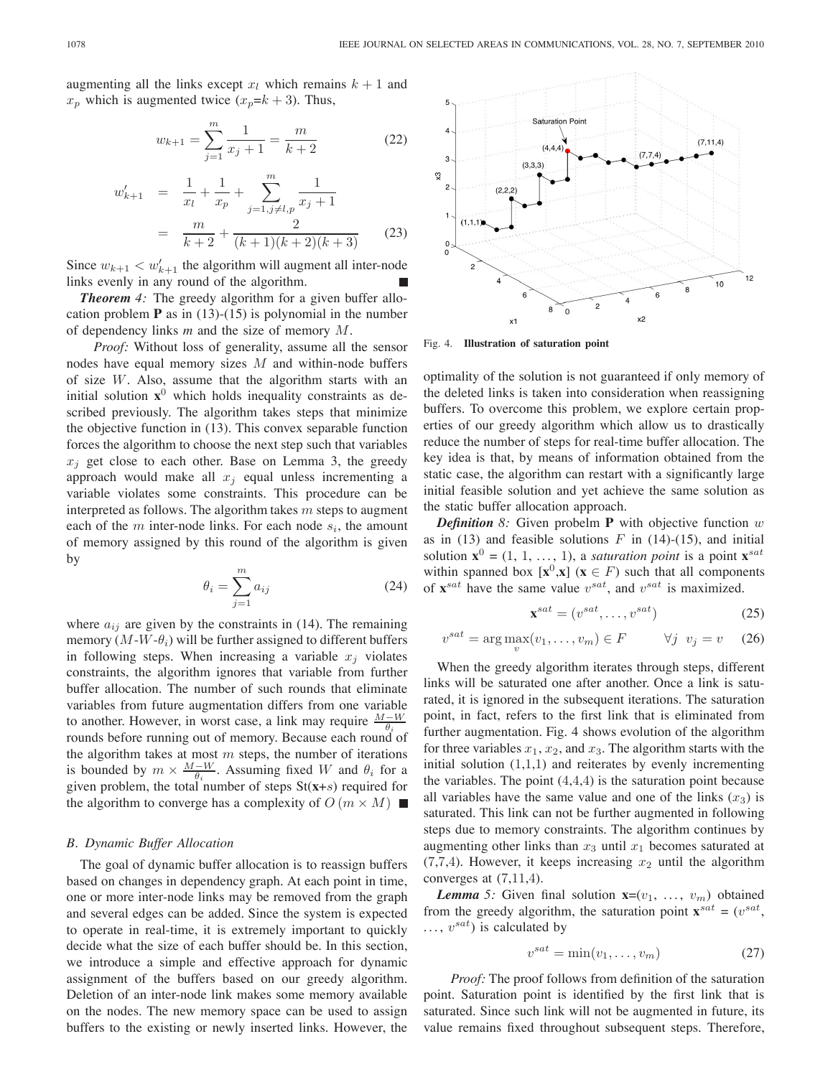augmenting all the links except  $x_l$  which remains  $k + 1$  and  $x_p$  which is augmented twice  $(x_p=k+3)$ . Thus,

$$
w_{k+1} = \sum_{j=1}^{m} \frac{1}{x_j + 1} = \frac{m}{k+2}
$$
 (22)

$$
w'_{k+1} = \frac{1}{x_l} + \frac{1}{x_p} + \sum_{j=1, j \neq l, p}^{m} \frac{1}{x_j + 1}
$$
  
= 
$$
\frac{m}{k+2} + \frac{2}{(k+1)(k+2)(k+3)}
$$
(23)

Since  $w_{k+1} < w'_{k+1}$  the algorithm will augment all inter-node links evenly in any round of the algorithm.

*Theorem* 4: The greedy algorithm for a given buffer allocation problem  $P$  as in (13)-(15) is polynomial in the number of dependency links *m* and the size of memory M.

*Proof:* Without loss of generality, assume all the sensor nodes have equal memory sizes  $M$  and within-node buffers of size  $W$ . Also, assume that the algorithm starts with an initial solution  $\mathbf{x}^0$  which holds inequality constraints as described previously. The algorithm takes steps that minimize the objective function in (13). This convex separable function forces the algorithm to choose the next step such that variables  $x_i$  get close to each other. Base on Lemma 3, the greedy approach would make all  $x_i$  equal unless incrementing a variable violates some constraints. This procedure can be interpreted as follows. The algorithm takes  $m$  steps to augment each of the  $m$  inter-node links. For each node  $s_i$ , the amount of memory assigned by this round of the algorithm is given by

$$
\theta_i = \sum_{j=1}^m a_{ij} \tag{24}
$$

where  $a_{ij}$  are given by the constraints in (14). The remaining memory  $(M-W-\theta_i)$  will be further assigned to different buffers in following steps. When increasing a variable  $x_i$  violates constraints, the algorithm ignores that variable from further buffer allocation. The number of such rounds that eliminate variables from future augmentation differs from one variable to another. However, in worst case, a link may require  $\frac{M-W}{\theta_i}$ rounds before running out of memory. Because each round of the algorithm takes at most  $m$  steps, the number of iterations is bounded by  $m \times \frac{M-W}{\theta_i}$ . Assuming fixed W and  $\theta_i$  for a given problem, the total number of steps  $St(x+s)$  required for the algorithm to converge has a complexity of  $O(m \times M)$ 

## *B. Dynamic Buffer Allocation*

The goal of dynamic buffer allocation is to reassign buffers based on changes in dependency graph. At each point in time, one or more inter-node links may be removed from the graph and several edges can be added. Since the system is expected to operate in real-time, it is extremely important to quickly decide what the size of each buffer should be. In this section, we introduce a simple and effective approach for dynamic assignment of the buffers based on our greedy algorithm. Deletion of an inter-node link makes some memory available on the nodes. The new memory space can be used to assign buffers to the existing or newly inserted links. However, the



Fig. 4. **Illustration of saturation point**

optimality of the solution is not guaranteed if only memory of the deleted links is taken into consideration when reassigning buffers. To overcome this problem, we explore certain properties of our greedy algorithm which allow us to drastically reduce the number of steps for real-time buffer allocation. The key idea is that, by means of information obtained from the static case, the algorithm can restart with a significantly large initial feasible solution and yet achieve the same solution as the static buffer allocation approach.

*Definition 8:* Given probelm **P** with objective function w as in (13) and feasible solutions  $F$  in (14)-(15), and initial solution  $\mathbf{x}^0 = (1, 1, \ldots, 1)$ , a *saturation point* is a point  $\mathbf{x}^{sat}$ within spanned box  $[\mathbf{x}^0, \mathbf{x}]$  ( $\mathbf{x} \in F$ ) such that all components of  $\mathbf{x}^{sat}$  have the same value  $v^{sat}$ , and  $v^{sat}$  is maximized.

$$
\mathbf{x}^{sat} = (v^{sat}, \dots, v^{sat})
$$
 (25)

$$
v^{sat} = \arg\max_{v}(v_1, \dots, v_m) \in F \qquad \forall j \ \ v_j = v \tag{26}
$$

When the greedy algorithm iterates through steps, different links will be saturated one after another. Once a link is saturated, it is ignored in the subsequent iterations. The saturation point, in fact, refers to the first link that is eliminated from further augmentation. Fig. 4 shows evolution of the algorithm for three variables  $x_1, x_2$ , and  $x_3$ . The algorithm starts with the initial solution (1,1,1) and reiterates by evenly incrementing the variables. The point  $(4,4,4)$  is the saturation point because all variables have the same value and one of the links  $(x_3)$  is saturated. This link can not be further augmented in following steps due to memory constraints. The algorithm continues by augmenting other links than  $x_3$  until  $x_1$  becomes saturated at  $(7,7,4)$ . However, it keeps increasing  $x_2$  until the algorithm converges at (7,11,4).

*Lemma* 5: Given final solution  $\mathbf{x}=(v_1, \ldots, v_m)$  obtained from the greedy algorithm, the saturation point  $\mathbf{x}^{sat} = (v^{sat},$  $\ldots$ ,  $v^{sat}$ ) is calculated by

$$
v^{sat} = \min(v_1, \dots, v_m)
$$
 (27)

*Proof:* The proof follows from definition of the saturation point. Saturation point is identified by the first link that is saturated. Since such link will not be augmented in future, its value remains fixed throughout subsequent steps. Therefore,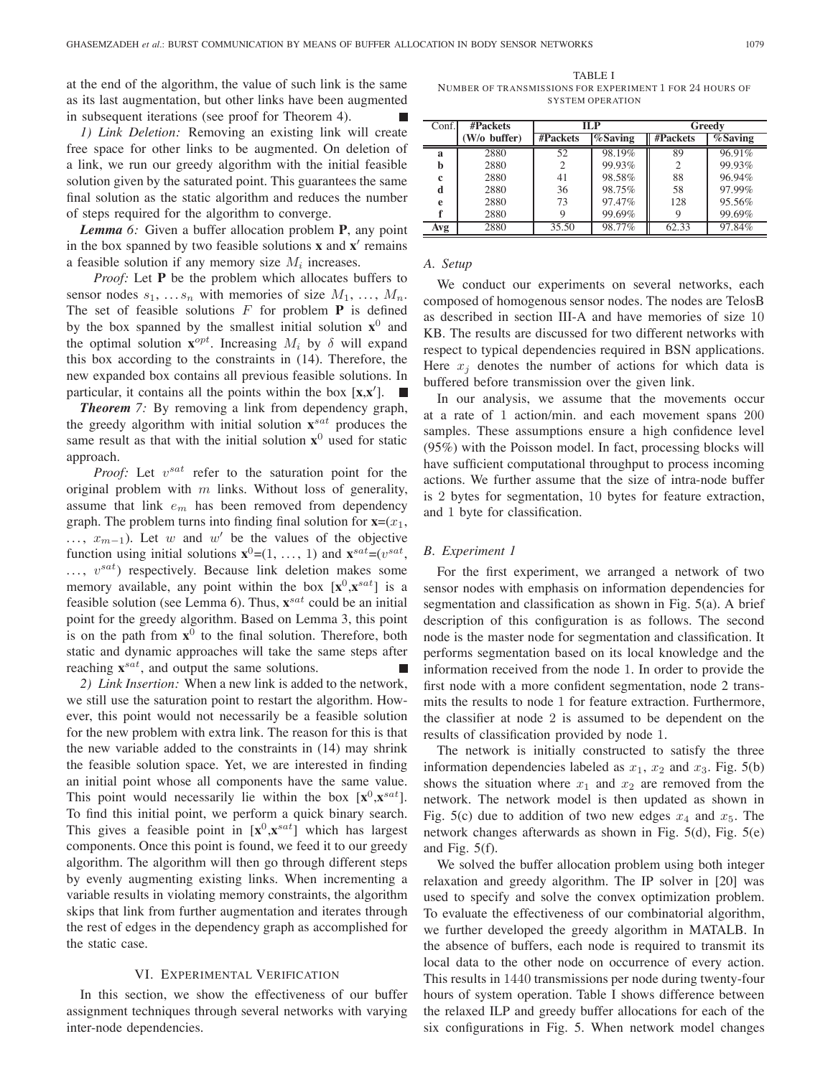at the end of the algorithm, the value of such link is the same as its last augmentation, but other links have been augmented in subsequent iterations (see proof for Theorem 4).

*1) Link Deletion:* Removing an existing link will create free space for other links to be augmented. On deletion of a link, we run our greedy algorithm with the initial feasible solution given by the saturated point. This guarantees the same final solution as the static algorithm and reduces the number of steps required for the algorithm to converge.

*Lemma 6:* Given a buffer allocation problem **P**, any point in the box spanned by two feasible solutions  $x$  and  $x'$  remains a feasible solution if any memory size  $M_i$  increases.

*Proof:* Let **P** be the problem which allocates buffers to sensor nodes  $s_1, \ldots s_n$  with memories of size  $M_1, \ldots, M_n$ . The set of feasible solutions  $F$  for problem  $\bf{P}$  is defined by the box spanned by the smallest initial solution  $x^0$  and the optimal solution  $\mathbf{x}^{opt}$ . Increasing  $M_i$  by  $\delta$  will expand this box according to the constraints in (14). Therefore, the new expanded box contains all previous feasible solutions. In particular, it contains all the points within the box [**x**,**x** ].

*Theorem 7:* By removing a link from dependency graph, the greedy algorithm with initial solution **x**sat produces the same result as that with the initial solution  $\mathbf{x}^0$  used for static approach.

*Proof:* Let  $v^{sat}$  refer to the saturation point for the original problem with  $m$  links. Without loss of generality, assume that link  $e_m$  has been removed from dependency graph. The problem turns into finding final solution for  $\mathbf{x}=(x_1,$  $\dots, x_{m-1}$ ). Let w and w' be the values of the objective function using initial solutions  $\mathbf{x}^0 = (1, \ldots, 1)$  and  $\mathbf{x}^{sat} = (v^{sat},$  $\dots, v^{sat}$  respectively. Because link deletion makes some memory available, any point within the box  $[\mathbf{x}^0, \mathbf{x}^{sat}]$  is a feasible solution (see Lemma 6). Thus,  $\mathbf{x}^{sat}$  could be an initial point for the greedy algorithm. Based on Lemma 3, this point is on the path from  $x^0$  to the final solution. Therefore, both static and dynamic approaches will take the same steps after reaching  $\mathbf{x}^{sat}$ , and output the same solutions.

*2) Link Insertion:* When a new link is added to the network, we still use the saturation point to restart the algorithm. However, this point would not necessarily be a feasible solution for the new problem with extra link. The reason for this is that the new variable added to the constraints in (14) may shrink the feasible solution space. Yet, we are interested in finding an initial point whose all components have the same value. This point would necessarily lie within the box  $[\mathbf{x}^0, \mathbf{x}^{sat}]$ . To find this initial point, we perform a quick binary search. This gives a feasible point in  $[\mathbf{x}^0, \mathbf{x}^{sat}]$  which has largest components. Once this point is found, we feed it to our greedy algorithm. The algorithm will then go through different steps by evenly augmenting existing links. When incrementing a variable results in violating memory constraints, the algorithm skips that link from further augmentation and iterates through the rest of edges in the dependency graph as accomplished for the static case.

## VI. EXPERIMENTAL VERIFICATION

In this section, we show the effectiveness of our buffer assignment techniques through several networks with varying inter-node dependencies.

TABLE I NUMBER OF TRANSMISSIONS FOR EXPERIMENT 1 FOR 24 HOURS OF SYSTEM OPERATION

| Conf.       | #Packets    |          | ПP         | Greedy   |                   |  |
|-------------|-------------|----------|------------|----------|-------------------|--|
|             | W/o buffer) | #Packets | $%$ Saving | #Packets | $\sqrt{\%Saving}$ |  |
| $\mathbf a$ | 2880        | 52       | 98.19%     | 89       | 96.91%            |  |
| b           | 2880        |          | 99.93%     |          | 99.93%            |  |
| c           | 2880        | 41       | 98.58%     | 88       | 96.94%            |  |
| d           | 2880        | 36       | 98.75%     | 58       | 97.99%            |  |
| e           | 2880        | 73       | 97.47%     | 128      | 95.56%            |  |
|             | 2880        | q        | 99.69%     |          | 99.69%            |  |
| Avg         | 2880        | 35.50    | 98.77%     | 62.33    | 97.84%            |  |

#### *A. Setup*

We conduct our experiments on several networks, each composed of homogenous sensor nodes. The nodes are TelosB as described in section III-A and have memories of size 10 KB. The results are discussed for two different networks with respect to typical dependencies required in BSN applications. Here  $x_i$  denotes the number of actions for which data is buffered before transmission over the given link.

In our analysis, we assume that the movements occur at a rate of 1 action/min. and each movement spans 200 samples. These assumptions ensure a high confidence level (95%) with the Poisson model. In fact, processing blocks will have sufficient computational throughput to process incoming actions. We further assume that the size of intra-node buffer is 2 bytes for segmentation, 10 bytes for feature extraction, and 1 byte for classification.

## *B. Experiment 1*

For the first experiment, we arranged a network of two sensor nodes with emphasis on information dependencies for segmentation and classification as shown in Fig. 5(a). A brief description of this configuration is as follows. The second node is the master node for segmentation and classification. It performs segmentation based on its local knowledge and the information received from the node 1. In order to provide the first node with a more confident segmentation, node 2 transmits the results to node 1 for feature extraction. Furthermore, the classifier at node 2 is assumed to be dependent on the results of classification provided by node 1.

The network is initially constructed to satisfy the three information dependencies labeled as  $x_1$ ,  $x_2$  and  $x_3$ . Fig. 5(b) shows the situation where  $x_1$  and  $x_2$  are removed from the network. The network model is then updated as shown in Fig. 5(c) due to addition of two new edges  $x_4$  and  $x_5$ . The network changes afterwards as shown in Fig. 5(d), Fig. 5(e) and Fig. 5(f).

We solved the buffer allocation problem using both integer relaxation and greedy algorithm. The IP solver in [20] was used to specify and solve the convex optimization problem. To evaluate the effectiveness of our combinatorial algorithm, we further developed the greedy algorithm in MATALB. In the absence of buffers, each node is required to transmit its local data to the other node on occurrence of every action. This results in 1440 transmissions per node during twenty-four hours of system operation. Table I shows difference between the relaxed ILP and greedy buffer allocations for each of the six configurations in Fig. 5. When network model changes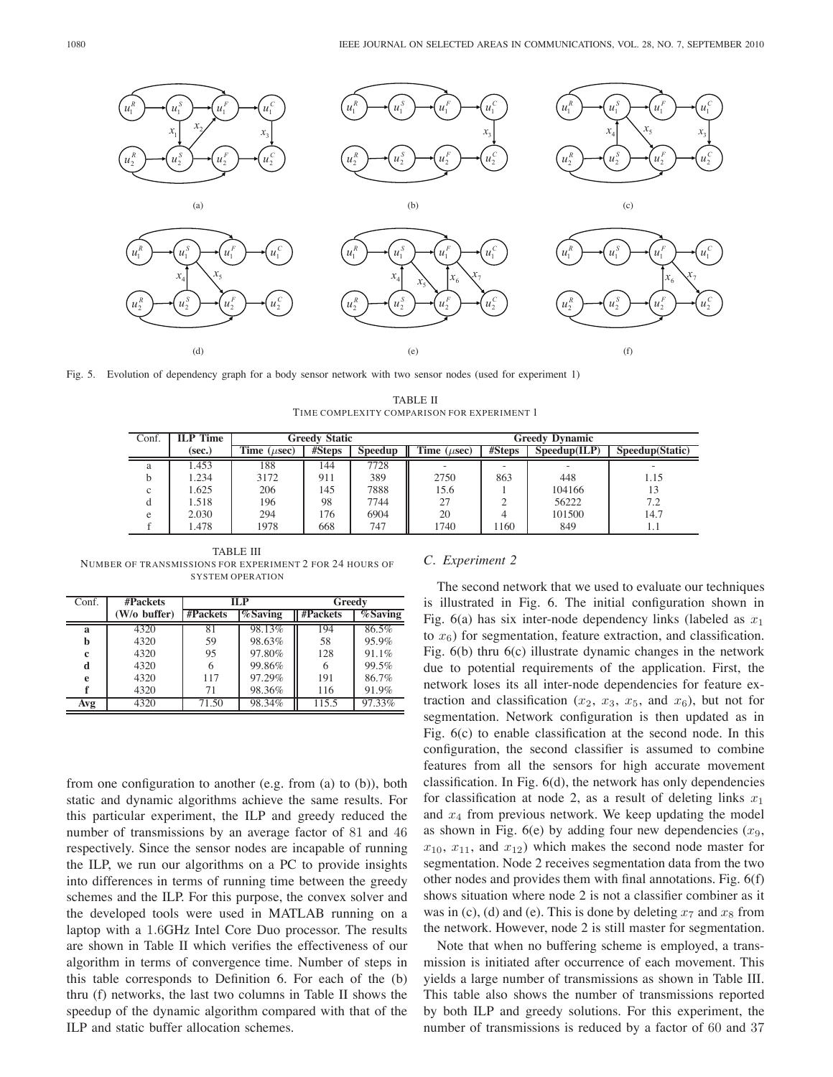

Fig. 5. Evolution of dependency graph for a body sensor network with two sensor nodes (used for experiment 1)

TABLE II TIME COMPLEXITY COMPARISON FOR EXPERIMENT 1

| Conf. | <b>ILP</b> Time | <b>Greedy Static</b>    |        |         | <b>Greedy Dynamic</b> |        |              |                          |
|-------|-----------------|-------------------------|--------|---------|-----------------------|--------|--------------|--------------------------|
|       | (sec.)          | Time $(\mu \text{sec})$ | #Steps | Speedup | Time $(\mu \sec)$     | #Steps | Speedup(ILP) | Speedup(Static)          |
| a     | 1.453           | 188                     | 144    | 7728    |                       |        |              | $\overline{\phantom{0}}$ |
| b     | 1.234           | 3172                    | 911    | 389     | 2750                  | 863    | 448          | 1.15                     |
| c     | 1.625           | 206                     | 145    | 7888    | 15.6                  |        | 104166       | 13                       |
|       | 1.518           | 196                     | 98     | 7744    | 27                    |        | 56222        | 7.2                      |
| e     | 2.030           | 294                     | 176    | 6904    | 20                    |        | 101500       | 14.7                     |
|       | 1.478           | 1978                    | 668    | 747     | 1740                  | 1160   | 849          | 1.1                      |

TABLE III NUMBER OF TRANSMISSIONS FOR EXPERIMENT 2 FOR 24 HOURS OF SYSTEM OPERATION

| Conf. | #Packets       |          | ILP     | Greedy |            |  |
|-------|----------------|----------|---------|--------|------------|--|
|       | $(W/O$ buffer) | #Packets | %Saving | #Packs | $%$ Saving |  |
| a     | 4320           | 81       | 98.13%  | 194    | 86.5%      |  |
| b     | 4320           | 59       | 98.63%  | 58     | 95.9%      |  |
| c     | 4320           | 95       | 97.80%  | 128    | 91.1%      |  |
| d     | 4320           | 6        | 99.86%  |        | 99.5%      |  |
| e     | 4320           | 117      | 97.29%  | 191    | 86.7%      |  |
|       | 4320           | 71       | 98.36%  | 116    | 91.9%      |  |
| Avg   | 4320           | 71.50    | 98.34%  | 115.5  | 97.33%     |  |

from one configuration to another (e.g. from (a) to (b)), both static and dynamic algorithms achieve the same results. For this particular experiment, the ILP and greedy reduced the number of transmissions by an average factor of 81 and 46 respectively. Since the sensor nodes are incapable of running the ILP, we run our algorithms on a PC to provide insights into differences in terms of running time between the greedy schemes and the ILP. For this purpose, the convex solver and the developed tools were used in MATLAB running on a laptop with a 1.6GHz Intel Core Duo processor. The results are shown in Table II which verifies the effectiveness of our algorithm in terms of convergence time. Number of steps in this table corresponds to Definition 6. For each of the (b) thru (f) networks, the last two columns in Table II shows the speedup of the dynamic algorithm compared with that of the ILP and static buffer allocation schemes.

#### *C. Experiment 2*

The second network that we used to evaluate our techniques is illustrated in Fig. 6. The initial configuration shown in Fig. 6(a) has six inter-node dependency links (labeled as  $x_1$ to  $x_6$ ) for segmentation, feature extraction, and classification. Fig. 6(b) thru 6(c) illustrate dynamic changes in the network due to potential requirements of the application. First, the network loses its all inter-node dependencies for feature extraction and classification  $(x_2, x_3, x_5, x_6)$ , but not for segmentation. Network configuration is then updated as in Fig. 6(c) to enable classification at the second node. In this configuration, the second classifier is assumed to combine features from all the sensors for high accurate movement classification. In Fig. 6(d), the network has only dependencies for classification at node 2, as a result of deleting links  $x_1$ and  $x_4$  from previous network. We keep updating the model as shown in Fig. 6(e) by adding four new dependencies  $(x_9,$  $x_{10}$ ,  $x_{11}$ , and  $x_{12}$ ) which makes the second node master for segmentation. Node 2 receives segmentation data from the two other nodes and provides them with final annotations. Fig. 6(f) shows situation where node 2 is not a classifier combiner as it was in (c), (d) and (e). This is done by deleting  $x_7$  and  $x_8$  from the network. However, node 2 is still master for segmentation.

Note that when no buffering scheme is employed, a transmission is initiated after occurrence of each movement. This yields a large number of transmissions as shown in Table III. This table also shows the number of transmissions reported by both ILP and greedy solutions. For this experiment, the number of transmissions is reduced by a factor of 60 and 37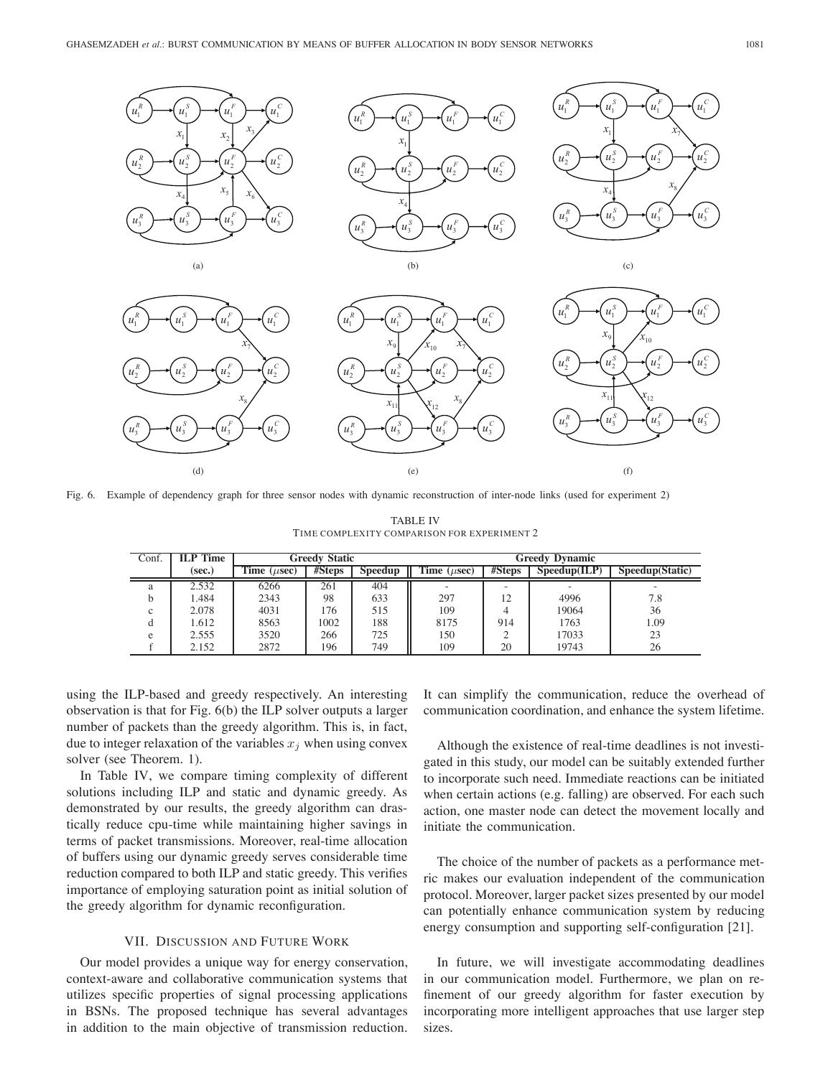

Fig. 6. Example of dependency graph for three sensor nodes with dynamic reconstruction of inter-node links (used for experiment 2)

TABLE IV TIME COMPLEXITY COMPARISON FOR EXPERIMENT 2

| Conf. | <b>ILP</b> Time | <b>Greedy Static</b> |        |         | <b>Greedy Dynamic</b> |        |              |                 |
|-------|-----------------|----------------------|--------|---------|-----------------------|--------|--------------|-----------------|
|       | (sec.)          | Time $(\mu \sec)$    | #Steps | Speedup | Time $(\mu \sec)$     | #Steps | Speedup(ILP) | Speedup(Static) |
| a     | 2.532           | 6266                 | 261    | 404     |                       | -      |              |                 |
| b     | 1.484           | 2343                 | 98     | 633     | 297                   | 12     | 4996         | 7.8             |
| c     | 2.078           | 4031                 | 176    | 515     | 109                   |        | 19064        | 36              |
|       | 1.612           | 8563                 | 1002   | 188     | 8175                  | 914    | 1763         | 1.09            |
| e     | 2.555           | 3520                 | 266    | 725     | 150                   |        | 17033        | 23              |
|       | 2.152           | 2872                 | 196    | 749     | 109                   | 20     | 19743        | 26              |

using the ILP-based and greedy respectively. An interesting observation is that for Fig. 6(b) the ILP solver outputs a larger number of packets than the greedy algorithm. This is, in fact, due to integer relaxation of the variables  $x_i$  when using convex solver (see Theorem. 1).

In Table IV, we compare timing complexity of different solutions including ILP and static and dynamic greedy. As demonstrated by our results, the greedy algorithm can drastically reduce cpu-time while maintaining higher savings in terms of packet transmissions. Moreover, real-time allocation of buffers using our dynamic greedy serves considerable time reduction compared to both ILP and static greedy. This verifies importance of employing saturation point as initial solution of the greedy algorithm for dynamic reconfiguration.

# VII. DISCUSSION AND FUTURE WORK

Our model provides a unique way for energy conservation, context-aware and collaborative communication systems that utilizes specific properties of signal processing applications in BSNs. The proposed technique has several advantages in addition to the main objective of transmission reduction. It can simplify the communication, reduce the overhead of communication coordination, and enhance the system lifetime.

Although the existence of real-time deadlines is not investigated in this study, our model can be suitably extended further to incorporate such need. Immediate reactions can be initiated when certain actions (e.g. falling) are observed. For each such action, one master node can detect the movement locally and initiate the communication.

The choice of the number of packets as a performance metric makes our evaluation independent of the communication protocol. Moreover, larger packet sizes presented by our model can potentially enhance communication system by reducing energy consumption and supporting self-configuration [21].

In future, we will investigate accommodating deadlines in our communication model. Furthermore, we plan on refinement of our greedy algorithm for faster execution by incorporating more intelligent approaches that use larger step sizes.